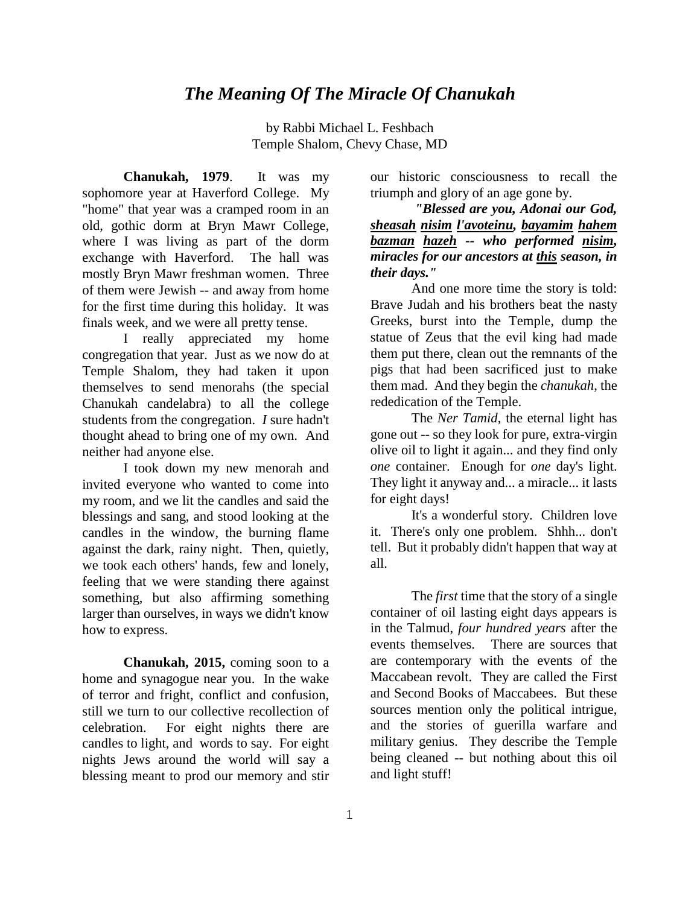## *The Meaning Of The Miracle Of Chanukah*

by Rabbi Michael L. Feshbach Temple Shalom, Chevy Chase, MD

**Chanukah, 1979**. It was my sophomore year at Haverford College. My "home" that year was a cramped room in an old, gothic dorm at Bryn Mawr College, where I was living as part of the dorm exchange with Haverford. The hall was mostly Bryn Mawr freshman women. Three of them were Jewish -- and away from home for the first time during this holiday. It was finals week, and we were all pretty tense.

I really appreciated my home congregation that year. Just as we now do at Temple Shalom, they had taken it upon themselves to send menorahs (the special Chanukah candelabra) to all the college students from the congregation. *I* sure hadn't thought ahead to bring one of my own. And neither had anyone else.

I took down my new menorah and invited everyone who wanted to come into my room, and we lit the candles and said the blessings and sang, and stood looking at the candles in the window, the burning flame against the dark, rainy night. Then, quietly, we took each others' hands, few and lonely, feeling that we were standing there against something, but also affirming something larger than ourselves, in ways we didn't know how to express.

**Chanukah, 2015,** coming soon to a home and synagogue near you. In the wake of terror and fright, conflict and confusion, still we turn to our collective recollection of celebration. For eight nights there are candles to light, and words to say. For eight nights Jews around the world will say a blessing meant to prod our memory and stir

our historic consciousness to recall the triumph and glory of an age gone by.

*"Blessed are you, Adonai our God, sheasah nisim l'avoteinu, bayamim hahem bazman hazeh -- who performed nisim, miracles for our ancestors at this season, in their days."*

And one more time the story is told: Brave Judah and his brothers beat the nasty Greeks, burst into the Temple, dump the statue of Zeus that the evil king had made them put there, clean out the remnants of the pigs that had been sacrificed just to make them mad. And they begin the *chanukah*, the rededication of the Temple.

The *Ner Tamid*, the eternal light has gone out -- so they look for pure, extra-virgin olive oil to light it again... and they find only *one* container. Enough for *one* day's light. They light it anyway and... a miracle... it lasts for eight days!

It's a wonderful story. Children love it. There's only one problem. Shhh... don't tell. But it probably didn't happen that way at all.

The *first* time that the story of a single container of oil lasting eight days appears is in the Talmud, *four hundred years* after the events themselves. There are sources that are contemporary with the events of the Maccabean revolt. They are called the First and Second Books of Maccabees. But these sources mention only the political intrigue, and the stories of guerilla warfare and military genius. They describe the Temple being cleaned -- but nothing about this oil and light stuff!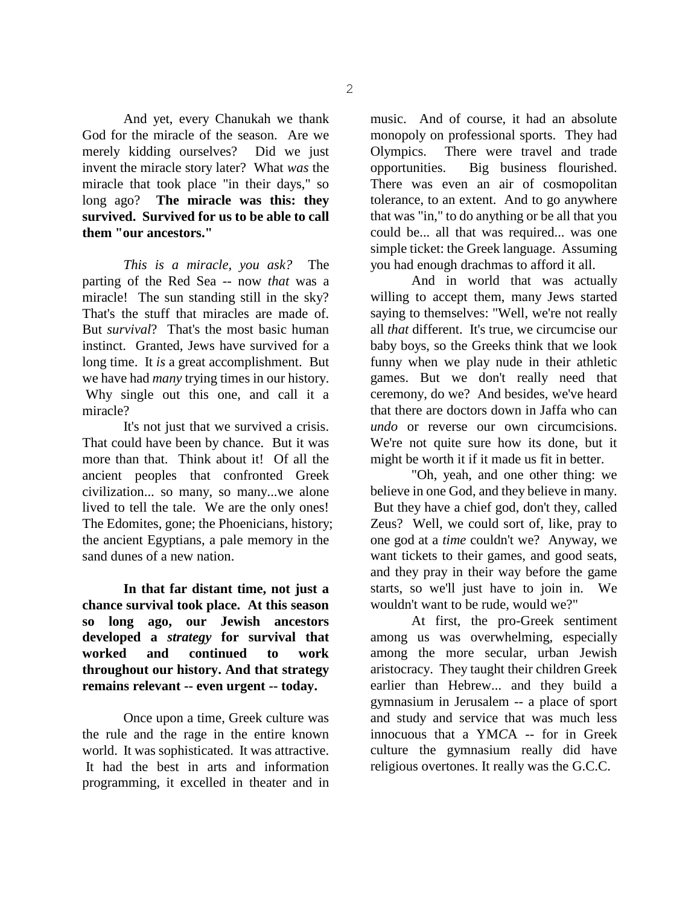And yet, every Chanukah we thank God for the miracle of the season. Are we merely kidding ourselves? Did we just invent the miracle story later? What *was* the miracle that took place "in their days," so long ago? **The miracle was this: they survived. Survived for us to be able to call them "our ancestors."**

*This is a miracle, you ask?* The parting of the Red Sea -- now *that* was a miracle! The sun standing still in the sky? That's the stuff that miracles are made of. But *survival*? That's the most basic human instinct. Granted, Jews have survived for a long time. It *is* a great accomplishment. But we have had *many* trying times in our history. Why single out this one, and call it a miracle?

It's not just that we survived a crisis. That could have been by chance. But it was more than that. Think about it! Of all the ancient peoples that confronted Greek civilization... so many, so many...we alone lived to tell the tale. We are the only ones! The Edomites, gone; the Phoenicians, history; the ancient Egyptians, a pale memory in the sand dunes of a new nation.

**In that far distant time, not just a chance survival took place. At this season so long ago, our Jewish ancestors developed a** *strategy* **for survival that worked and continued to work throughout our history. And that strategy remains relevant -- even urgent -- today.**

Once upon a time, Greek culture was the rule and the rage in the entire known world. It was sophisticated. It was attractive. It had the best in arts and information programming, it excelled in theater and in music. And of course, it had an absolute monopoly on professional sports. They had Olympics. There were travel and trade opportunities. Big business flourished. There was even an air of cosmopolitan tolerance, to an extent. And to go anywhere that was "in," to do anything or be all that you could be... all that was required... was one simple ticket: the Greek language. Assuming you had enough drachmas to afford it all.

And in world that was actually willing to accept them, many Jews started saying to themselves: "Well, we're not really all *that* different. It's true, we circumcise our baby boys, so the Greeks think that we look funny when we play nude in their athletic games. But we don't really need that ceremony, do we? And besides, we've heard that there are doctors down in Jaffa who can *undo* or reverse our own circumcisions. We're not quite sure how its done, but it might be worth it if it made us fit in better.

"Oh, yeah, and one other thing: we believe in one God, and they believe in many. But they have a chief god, don't they, called Zeus? Well, we could sort of, like, pray to one god at a *time* couldn't we? Anyway, we want tickets to their games, and good seats, and they pray in their way before the game starts, so we'll just have to join in. We wouldn't want to be rude, would we?"

At first, the pro-Greek sentiment among us was overwhelming, especially among the more secular, urban Jewish aristocracy. They taught their children Greek earlier than Hebrew... and they build a gymnasium in Jerusalem -- a place of sport and study and service that was much less innocuous that a YM*C*A -- for in Greek culture the gymnasium really did have religious overtones. It really was the G.C.C.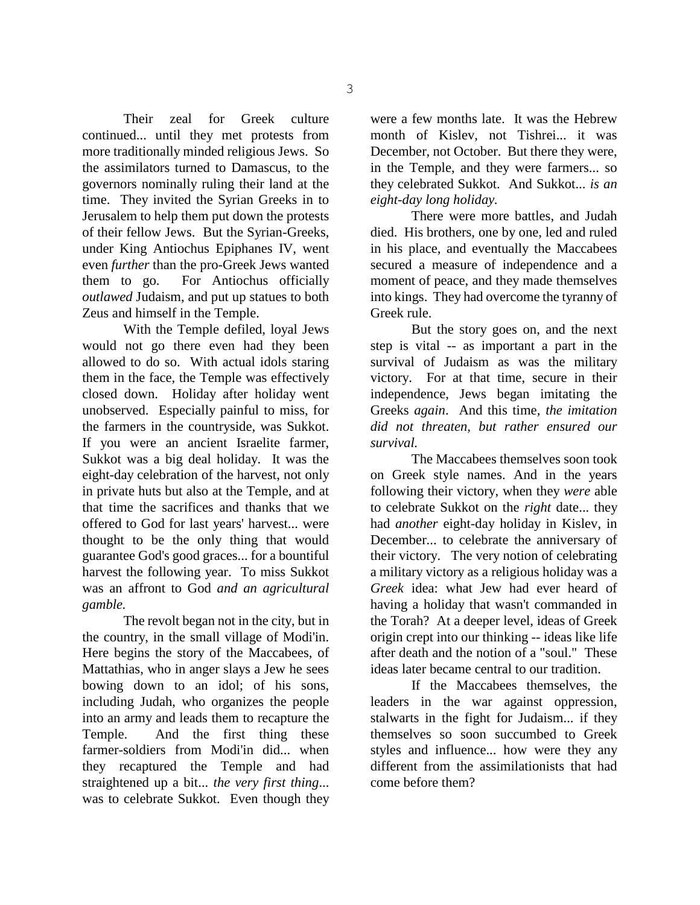Their zeal for Greek culture continued... until they met protests from more traditionally minded religious Jews. So the assimilators turned to Damascus, to the governors nominally ruling their land at the time. They invited the Syrian Greeks in to Jerusalem to help them put down the protests of their fellow Jews. But the Syrian-Greeks, under King Antiochus Epiphanes IV, went even *further* than the pro-Greek Jews wanted them to go. For Antiochus officially *outlawed* Judaism, and put up statues to both Zeus and himself in the Temple.

With the Temple defiled, loyal Jews would not go there even had they been allowed to do so. With actual idols staring them in the face, the Temple was effectively closed down. Holiday after holiday went unobserved. Especially painful to miss, for the farmers in the countryside, was Sukkot. If you were an ancient Israelite farmer, Sukkot was a big deal holiday. It was the eight-day celebration of the harvest, not only in private huts but also at the Temple, and at that time the sacrifices and thanks that we offered to God for last years' harvest... were thought to be the only thing that would guarantee God's good graces... for a bountiful harvest the following year. To miss Sukkot was an affront to God *and an agricultural gamble.*

The revolt began not in the city, but in the country, in the small village of Modi'in. Here begins the story of the Maccabees, of Mattathias, who in anger slays a Jew he sees bowing down to an idol; of his sons, including Judah, who organizes the people into an army and leads them to recapture the Temple. And the first thing these farmer-soldiers from Modi'in did... when they recaptured the Temple and had straightened up a bit... *the very first thing*... was to celebrate Sukkot. Even though they were a few months late. It was the Hebrew month of Kislev, not Tishrei... it was December, not October. But there they were, in the Temple, and they were farmers... so they celebrated Sukkot. And Sukkot... *is an eight-day long holiday.*

There were more battles, and Judah died. His brothers, one by one, led and ruled in his place, and eventually the Maccabees secured a measure of independence and a moment of peace, and they made themselves into kings. They had overcome the tyranny of Greek rule.

But the story goes on, and the next step is vital -- as important a part in the survival of Judaism as was the military victory. For at that time, secure in their independence, Jews began imitating the Greeks *again*. And this time, *the imitation did not threaten, but rather ensured our survival.*

The Maccabees themselves soon took on Greek style names. And in the years following their victory, when they *were* able to celebrate Sukkot on the *right* date... they had *another* eight-day holiday in Kislev, in December... to celebrate the anniversary of their victory. The very notion of celebrating a military victory as a religious holiday was a *Greek* idea: what Jew had ever heard of having a holiday that wasn't commanded in the Torah? At a deeper level, ideas of Greek origin crept into our thinking -- ideas like life after death and the notion of a "soul." These ideas later became central to our tradition.

If the Maccabees themselves, the leaders in the war against oppression, stalwarts in the fight for Judaism... if they themselves so soon succumbed to Greek styles and influence... how were they any different from the assimilationists that had come before them?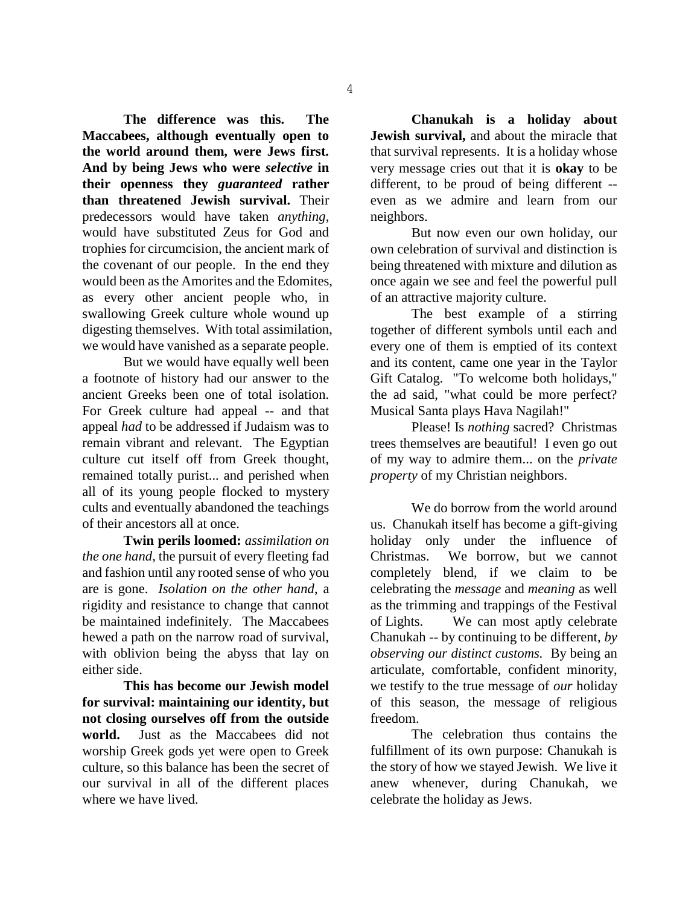**The difference was this. The Maccabees, although eventually open to the world around them, were Jews first. And by being Jews who were** *selective* **in their openness they** *guaranteed* **rather than threatened Jewish survival.** Their predecessors would have taken *anything*, would have substituted Zeus for God and trophies for circumcision, the ancient mark of the covenant of our people. In the end they would been as the Amorites and the Edomites, as every other ancient people who, in swallowing Greek culture whole wound up digesting themselves. With total assimilation, we would have vanished as a separate people.

But we would have equally well been a footnote of history had our answer to the ancient Greeks been one of total isolation. For Greek culture had appeal -- and that appeal *had* to be addressed if Judaism was to remain vibrant and relevant. The Egyptian culture cut itself off from Greek thought, remained totally purist... and perished when all of its young people flocked to mystery cults and eventually abandoned the teachings of their ancestors all at once.

**Twin perils loomed:** *assimilation on the one hand*, the pursuit of every fleeting fad and fashion until any rooted sense of who you are is gone. *Isolation on the other hand*, a rigidity and resistance to change that cannot be maintained indefinitely. The Maccabees hewed a path on the narrow road of survival, with oblivion being the abyss that lay on either side.

**This has become our Jewish model for survival: maintaining our identity, but not closing ourselves off from the outside world.** Just as the Maccabees did not worship Greek gods yet were open to Greek culture, so this balance has been the secret of our survival in all of the different places where we have lived.

**Chanukah is a holiday about Jewish survival,** and about the miracle that that survival represents. It is a holiday whose very message cries out that it is **okay** to be different, to be proud of being different - even as we admire and learn from our neighbors.

But now even our own holiday, our own celebration of survival and distinction is being threatened with mixture and dilution as once again we see and feel the powerful pull of an attractive majority culture.

The best example of a stirring together of different symbols until each and every one of them is emptied of its context and its content, came one year in the Taylor Gift Catalog. "To welcome both holidays," the ad said, "what could be more perfect? Musical Santa plays Hava Nagilah!"

Please! Is *nothing* sacred? Christmas trees themselves are beautiful! I even go out of my way to admire them... on the *private property* of my Christian neighbors.

We do borrow from the world around us. Chanukah itself has become a gift-giving holiday only under the influence of Christmas. We borrow, but we cannot completely blend, if we claim to be celebrating the *message* and *meaning* as well as the trimming and trappings of the Festival of Lights. We can most aptly celebrate Chanukah -- by continuing to be different, *by observing our distinct customs.* By being an articulate, comfortable, confident minority, we testify to the true message of *our* holiday of this season, the message of religious freedom.

The celebration thus contains the fulfillment of its own purpose: Chanukah is the story of how we stayed Jewish. We live it anew whenever, during Chanukah, we celebrate the holiday as Jews.